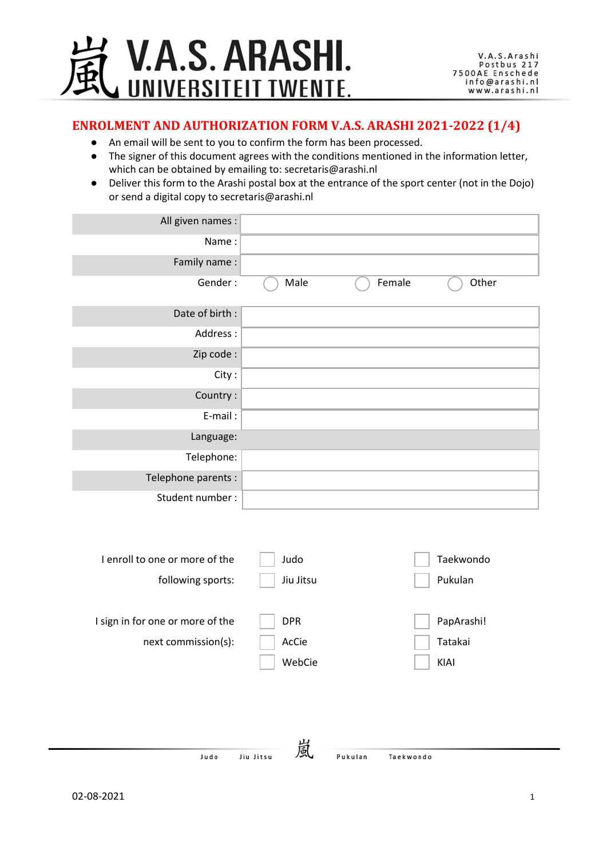

### **ENROLMENT AND AUTHORIZATION FORM V.A.S. ARASHI 2021-2022 (1/4)**

- An email will be sent to you to confirm the form has been processed.
- The signer of this document agrees with the conditions mentioned in the information letter, which can be obtained by emailing to: secretaris@arashi.nl
- Deliver this form to the Arashi postal box at the entrance of the sport center (not in the Dojo) or send a digital copy to secretaris@arashi.nl

| All given names :                |                           |           |            |
|----------------------------------|---------------------------|-----------|------------|
| Name:                            |                           |           |            |
| Family name:                     |                           |           |            |
| Gender:                          | Male                      | Female    | Other      |
| Date of birth :                  |                           |           |            |
| Address:                         |                           |           |            |
| Zip code:                        |                           |           |            |
| City:                            |                           |           |            |
| Country:                         |                           |           |            |
| E-mail:                          |                           |           |            |
| Language:                        |                           |           |            |
| Telephone:                       |                           |           |            |
| Telephone parents :              |                           |           |            |
| Student number:                  |                           |           |            |
|                                  |                           |           |            |
| I enroll to one or more of the   | Judo                      |           | Taekwondo  |
| following sports:                | Jiu Jitsu                 |           | Pukulan    |
|                                  |                           |           |            |
| I sign in for one or more of the | <b>DPR</b>                |           | PapArashi! |
| next commission(s):              | AcCie                     |           | Tatakai    |
|                                  | WebCie<br><b>Property</b> | $\sim$    | KIAI       |
|                                  |                           |           |            |
|                                  |                           |           |            |
|                                  |                           |           |            |
| <b>Ludo</b>                      | 嵐<br>lin liten            | Taekwondo |            |

Jiu Jitsu

Judo

Pukulan

Taekwondo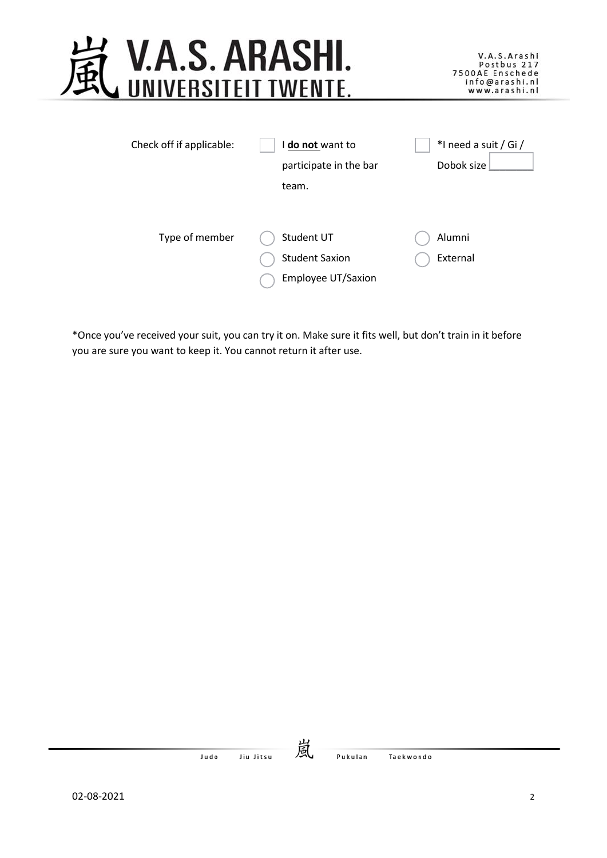

| Check off if applicable: | do not want to         | *I need a suit / Gi / |
|--------------------------|------------------------|-----------------------|
|                          | participate in the bar | Dobok size            |
|                          | team.                  |                       |
|                          |                        |                       |
| Type of member           | Student UT             | Alumni                |
|                          | <b>Student Saxion</b>  | External              |
|                          | Employee UT/Saxion     |                       |

\*Once you've received your suit, you can try it on. Make sure it fits well, but don't train in it before you are sure you want to keep it. You cannot return it after use.

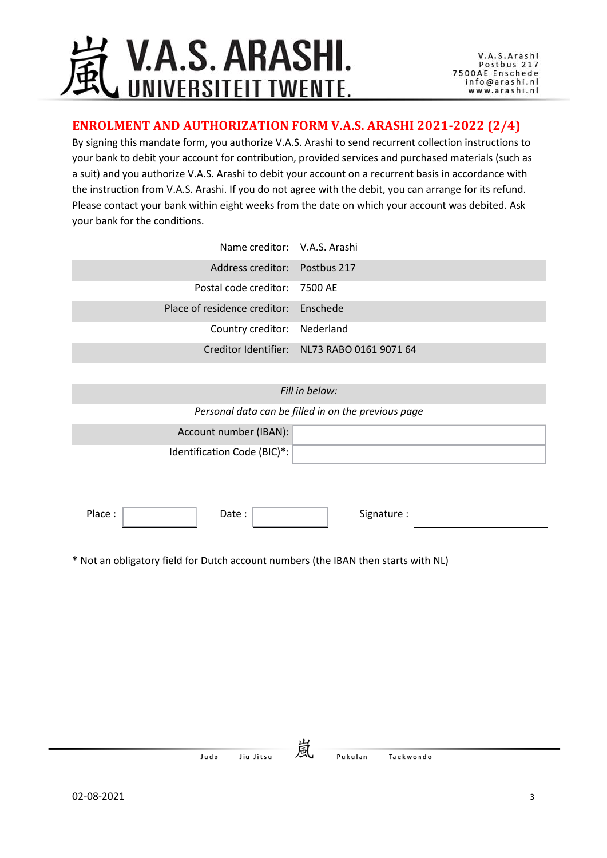## **V.A.S. ARASHI.** UNIVERSITEIT TWENTE.

### **ENROLMENT AND AUTHORIZATION FORM V.A.S. ARASHI 2021-2022 (2/4)**

By signing this mandate form, you authorize V.A.S. Arashi to send recurrent collection instructions to your bank to debit your account for contribution, provided services and purchased materials (such as a suit) and you authorize V.A.S. Arashi to debit your account on a recurrent basis in accordance with the instruction from V.A.S. Arashi. If you do not agree with the debit, you can arrange for its refund. Please contact your bank within eight weeks from the date on which your account was debited. Ask your bank for the conditions.

| Name creditor: V.A.S. Arashi          |                                             |
|---------------------------------------|---------------------------------------------|
| Address creditor: Postbus 217         |                                             |
| Postal code creditor: 7500 AE         |                                             |
| Place of residence creditor: Enschede |                                             |
| Country creditor: Nederland           |                                             |
|                                       | Creditor Identifier: NL73 RABO 0161 9071 64 |

#### *Fill in below:*

*Personal data can be filled in on the previous page*

| Account number (IBAN):      |  |
|-----------------------------|--|
| Identification Code (BIC)*: |  |

Place : No. 2010 | Date : No. 2010 | Signature : Signature :

\* Not an obligatory field for Dutch account numbers (the IBAN then starts with NL)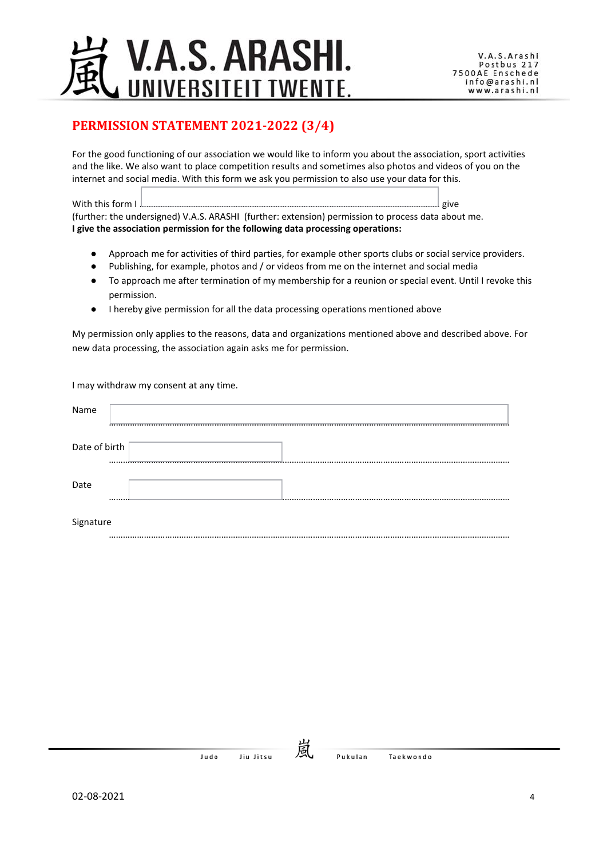## V.A.S. ARASHI. UNIVERSITEIT TWENTE.

## **PERMISSION STATEMENT 2021-2022 (3/4)**

For the good functioning of our association we would like to inform you about the association, sport activities and the like. We also want to place competition results and sometimes also photos and videos of you on the internet and social media. With this form we ask you permission to also use your data for this.

With this form I ……………………………………………………………………………………………………………….. give (further: the undersigned) V.A.S. ARASHI (further: extension) permission to process data about me. **I give the association permission for the following data processing operations:**

- Approach me for activities of third parties, for example other sports clubs or social service providers.
- Publishing, for example, photos and / or videos from me on the internet and social media
- To approach me after termination of my membership for a reunion or special event. Until I revoke this permission.
- I hereby give permission for all the data processing operations mentioned above

My permission only applies to the reasons, data and organizations mentioned above and described above. For new data processing, the association again asks me for permission.

I may withdraw my consent at any time.

| Name          |             |  |
|---------------|-------------|--|
| Date of birth |             |  |
| Date          | <del></del> |  |
| Signature     |             |  |

………………………………………………………………………………………………………………………………………………………

Jiu Jitsu **Judo**